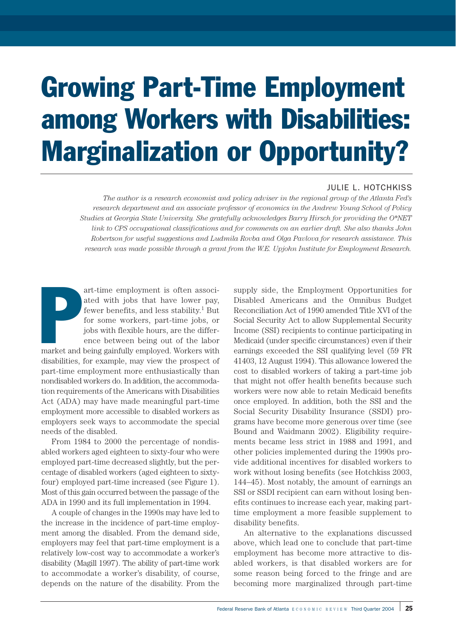# Growing Part-Time Employment among Workers with Disabilities: Marginalization or Opportunity?

#### JULIE L. HOTCHKISS

*The author is a research economist and policy adviser in the regional group of the Atlanta Fed's research department and an associate professor of economics in the Andrew Young School of Policy Studies at Georgia State University. She gratefully acknowledges Barry Hirsch for providing the O\*NET link to CPS occupational classifications and for comments on an earlier draft. She also thanks John Robertson for useful suggestions and Ludmila Rovba and Olga Pavlova for research assistance. This research was made possible through a grant from the W.E. Upjohn Institute for Employment Research.*

**Particular**<br>market and art-time employment is often associated with jobs that have lower pay, fewer benefits, and less stability.<sup>1</sup> But for some workers, part-time jobs, or jobs with flexible hours, are the difference between being out of the labor market and being gainfully employed. Workers with disabilities, for example, may view the prospect of part-time employment more enthusiastically than nondisabled workers do. In addition, the accommodation requirements of the Americans with Disabilities Act (ADA) may have made meaningful part-time employment more accessible to disabled workers as employers seek ways to accommodate the special needs of the disabled.

From 1984 to 2000 the percentage of nondisabled workers aged eighteen to sixty-four who were employed part-time decreased slightly, but the percentage of disabled workers (aged eighteen to sixtyfour) employed part-time increased (see Figure 1). Most of this gain occurred between the passage of the ADA in 1990 and its full implementation in 1994.

A couple of changes in the 1990s may have led to the increase in the incidence of part-time employment among the disabled. From the demand side, employers may feel that part-time employment is a relatively low-cost way to accommodate a worker's disability (Magill 1997). The ability of part-time work to accommodate a worker's disability, of course, depends on the nature of the disability. From the

supply side, the Employment Opportunities for Disabled Americans and the Omnibus Budget Reconciliation Act of 1990 amended Title XVI of the Social Security Act to allow Supplemental Security Income (SSI) recipients to continue participating in Medicaid (under specific circumstances) even if their earnings exceeded the SSI qualifying level (59 FR 41403, 12 August 1994). This allowance lowered the cost to disabled workers of taking a part-time job that might not offer health benefits because such workers were now able to retain Medicaid benefits once employed. In addition, both the SSI and the Social Security Disability Insurance (SSDI) programs have become more generous over time (see Bound and Waidmann 2002). Eligibility requirements became less strict in 1988 and 1991, and other policies implemented during the 1990s provide additional incentives for disabled workers to work without losing benefits (see Hotchkiss 2003, 144–45). Most notably, the amount of earnings an SSI or SSDI recipient can earn without losing benefits continues to increase each year, making parttime employment a more feasible supplement to disability benefits.

An alternative to the explanations discussed above, which lead one to conclude that part-time employment has become more attractive to disabled workers, is that disabled workers are for some reason being forced to the fringe and are becoming more marginalized through part-time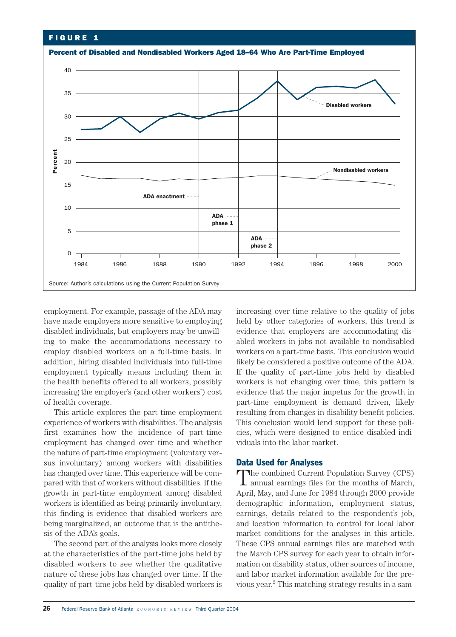

employment. For example, passage of the ADA may have made employers more sensitive to employing disabled individuals, but employers may be unwilling to make the accommodations necessary to employ disabled workers on a full-time basis. In addition, hiring disabled individuals into full-time employment typically means including them in the health benefits offered to all workers, possibly increasing the employer's (and other workers') cost of health coverage.

This article explores the part-time employment experience of workers with disabilities. The analysis first examines how the incidence of part-time employment has changed over time and whether the nature of part-time employment (voluntary versus involuntary) among workers with disabilities has changed over time. This experience will be compared with that of workers without disabilities. If the growth in part-time employment among disabled workers is identified as being primarily involuntary, this finding is evidence that disabled workers are being marginalized, an outcome that is the antithesis of the ADA's goals.

The second part of the analysis looks more closely at the characteristics of the part-time jobs held by disabled workers to see whether the qualitative nature of these jobs has changed over time. If the

increasing over time relative to the quality of jobs held by other categories of workers, this trend is evidence that employers are accommodating disabled workers in jobs not available to nondisabled workers on a part-time basis. This conclusion would likely be considered a positive outcome of the ADA. If the quality of part-time jobs held by disabled workers is not changing over time, this pattern is evidence that the major impetus for the growth in part-time employment is demand driven, likely resulting from changes in disability benefit policies. This conclusion would lend support for these policies, which were designed to entice disabled individuals into the labor market.

#### Data Used for Analyses

The combined Current Population Survey (CPS) annual earnings files for the months of March, April, May, and June for 1984 through 2000 provide demographic information, employment status, earnings, details related to the respondent's job, and location information to control for local labor market conditions for the analyses in this article. These CPS annual earnings files are matched with the March CPS survey for each year to obtain information on disability status, other sources of income, and labor market information available for the previous year.2 This matching strategy results in a sam-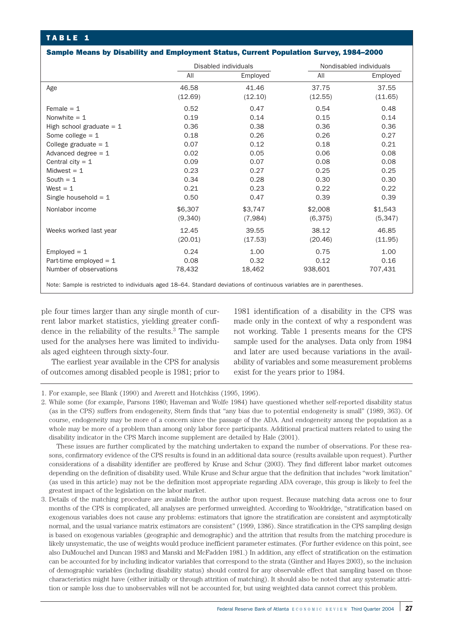#### Sample Means by Disability and Employment Status, Current Population Survey, 1984–2000

|                                                                                                                       |         | Disabled individuals |         | Nondisabled individuals |  |  |
|-----------------------------------------------------------------------------------------------------------------------|---------|----------------------|---------|-------------------------|--|--|
|                                                                                                                       | All     | Employed             | All     | Employed                |  |  |
| Age                                                                                                                   | 46.58   | 41.46                | 37.75   | 37.55                   |  |  |
|                                                                                                                       | (12.69) | (12.10)              | (12.55) | (11.65)                 |  |  |
| Female $= 1$                                                                                                          | 0.52    | 0.47                 | 0.54    | 0.48                    |  |  |
| Nonwhite $= 1$                                                                                                        | 0.19    | 0.14                 | 0.15    | 0.14                    |  |  |
| High school graduate $= 1$                                                                                            | 0.36    | 0.38                 | 0.36    | 0.36                    |  |  |
| Some college $= 1$                                                                                                    | 0.18    | 0.26                 | 0.26    | 0.27                    |  |  |
| College graduate = $1$                                                                                                | 0.07    | 0.12                 | 0.18    | 0.21                    |  |  |
| Advanced degree $= 1$                                                                                                 | 0.02    | 0.05                 | 0.06    | 0.08                    |  |  |
| Central city = $1$                                                                                                    | 0.09    | 0.07                 | 0.08    | 0.08                    |  |  |
| Midwest $= 1$                                                                                                         | 0.23    | 0.27                 | 0.25    | 0.25                    |  |  |
| South $= 1$                                                                                                           | 0.34    | 0.28                 | 0.30    | 0.30                    |  |  |
| West $= 1$                                                                                                            | 0.21    | 0.23                 | 0.22    | 0.22                    |  |  |
| Single household $= 1$                                                                                                | 0.50    | 0.47                 | 0.39    | 0.39                    |  |  |
| Nonlabor income                                                                                                       | \$6,307 | \$3,747              | \$2,008 | \$1,543                 |  |  |
|                                                                                                                       | (9,340) | (7,984)              | (6,375) | (5, 347)                |  |  |
| Weeks worked last year                                                                                                | 12.45   | 39.55                | 38.12   | 46.85                   |  |  |
|                                                                                                                       | (20.01) | (17.53)              | (20.46) | (11.95)                 |  |  |
| Employed $= 1$                                                                                                        | 0.24    | 1.00                 | 0.75    | 1.00                    |  |  |
| Part-time employed $= 1$                                                                                              | 0.08    | 0.32                 | 0.12    | 0.16                    |  |  |
| Number of observations                                                                                                | 78,432  | 18,462               | 938,601 | 707,431                 |  |  |
| Note: Sample is restricted to individuals aged 18–64. Standard deviations of continuous variables are in parentheses. |         |                      |         |                         |  |  |

ple four times larger than any single month of current labor market statistics, yielding greater confidence in the reliability of the results.3 The sample used for the analyses here was limited to individuals aged eighteen through sixty-four.

The earliest year available in the CPS for analysis of outcomes among disabled people is 1981; prior to

1981 identification of a disability in the CPS was made only in the context of why a respondent was not working. Table 1 presents means for the CPS sample used for the analyses. Data only from 1984 and later are used because variations in the availability of variables and some measurement problems exist for the years prior to 1984.

1. For example, see Blank (1990) and Averett and Hotchkiss (1995, 1996).

These issues are further complicated by the matching undertaken to expand the number of observations. For these reasons, confirmatory evidence of the CPS results is found in an additional data source (results available upon request). Further considerations of a disability identifier are proffered by Kruse and Schur (2003). They find different labor market outcomes depending on the definition of disability used. While Kruse and Schur argue that the definition that includes "work limitation" (as used in this article) may not be the definition most appropriate regarding ADA coverage, this group is likely to feel the greatest impact of the legislation on the labor market.

3. Details of the matching procedure are available from the author upon request. Because matching data across one to four months of the CPS is complicated, all analyses are performed unweighted. According to Wooldridge, "stratification based on exogenous variables does not cause any problems: estimators that ignore the stratification are consistent and asymptotically normal, and the usual variance matrix estimators are consistent" (1999, 1386). Since stratification in the CPS sampling design is based on exogenous variables (geographic and demographic) and the attrition that results from the matching procedure is likely unsystematic, the use of weights would produce inefficient parameter estimates. (For further evidence on this point, see also DuMouchel and Duncan 1983 and Manski and McFadden 1981.) In addition, any effect of stratification on the estimation can be accounted for by including indicator variables that correspond to the strata (Ginther and Hayes 2003), so the inclusion of demographic variables (including disability status) should control for any observable effect that sampling based on those characteristics might have (either initially or through attrition of matching). It should also be noted that any systematic attrition or sample loss due to unobservables will not be accounted for, but using weighted data cannot correct this problem.

<sup>2.</sup> While some (for example, Parsons 1980; Haveman and Wolfe 1984) have questioned whether self-reported disability status (as in the CPS) suffers from endogeneity, Stern finds that "any bias due to potential endogeneity is small" (1989, 363). Of course, endogeneity may be more of a concern since the passage of the ADA. And endogeneity among the population as a whole may be more of a problem than among only labor force participants. Additional practical matters related to using the disability indicator in the CPS March income supplement are detailed by Hale (2001).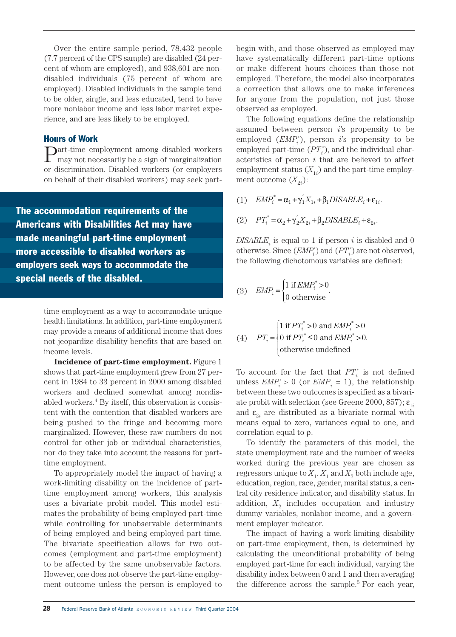Over the entire sample period, 78,432 people (7.7 percent of the CPS sample) are disabled (24 percent of whom are employed), and 938,601 are nondisabled individuals (75 percent of whom are employed). Disabled individuals in the sample tend to be older, single, and less educated, tend to have more nonlabor income and less labor market experience, and are less likely to be employed.

#### Hours of Work

**Part-time employment among disabled workers** may not necessarily be a sign of marginalization or discrimination. Disabled workers (or employers on behalf of their disabled workers) may seek part-

The accommodation requirements of the Americans with Disabilities Act may have made meaningful part-time employment more accessible to disabled workers as employers seek ways to accommodate the special needs of the disabled.

> time employment as a way to accommodate unique health limitations. In addition, part-time employment may provide a means of additional income that does not jeopardize disability benefits that are based on income levels.

> **Incidence of part-time employment.** Figure 1 shows that part-time employment grew from 27 percent in 1984 to 33 percent in 2000 among disabled workers and declined somewhat among nondisabled workers.4 By itself, this observation is consistent with the contention that disabled workers are being pushed to the fringe and becoming more marginalized. However, these raw numbers do not control for other job or individual characteristics, nor do they take into account the reasons for parttime employment.

> To appropriately model the impact of having a work-limiting disability on the incidence of parttime employment among workers, this analysis uses a bivariate probit model. This model estimates the probability of being employed part-time while controlling for unobservable determinants of being employed and being employed part-time. The bivariate specification allows for two outcomes (employment and part-time employment) to be affected by the same unobservable factors. However, one does not observe the part-time employment outcome unless the person is employed to

begin with, and those observed as employed may have systematically different part-time options or make different hours choices than those not employed. Therefore, the model also incorporates a correction that allows one to make inferences for anyone from the population, not just those observed as employed.

The following equations define the relationship assumed between person *i*'s propensity to be employed (*EMPi* \* ), person *i*'s propensity to be  $employed part-time (PT<sub>i</sub><sup>*</sup>)$ , and the individual characteristics of person *i* that are believed to affect employment status  $(X_{1i})$  and the part-time employment outcome  $(X_{2i})$ :

- (1)  $EMP_i^* = \alpha_1 + \gamma_1'X_{1i} + \beta_1 DISABLE_i + \varepsilon_{1i}.$
- (2)  $PT_i^* = \alpha_2 + \gamma_2' X_{2i} + \beta_2 DISABLE_i + \varepsilon_{2i}$ .

 $DISABLE<sub>i</sub>$  is equal to 1 if person *i* is disabled and 0 otherwise. Since  $(\mathit{EMP}_i^*)$  and  $(PT_i^*)$  are not observed, the following dichotomous variables are defined:

(3) 
$$
EMP_i = \begin{cases} 1 \text{ if } EMP_i^* > 0 \\ 0 \text{ otherwise} \end{cases}.
$$

(4) 
$$
PT_i = \begin{cases} 1 \text{ if } PT_i^* > 0 \text{ and } EMP_i^* > 0 \\ 0 \text{ if } PT_i^* \le 0 \text{ and } EMP_i^* > 0. \\ \text{otherwise undefined} \end{cases}
$$

To account for the fact that  $PT_i^*$  is not defined unless  $\textit{EMP}^\ast_i > 0$  (or  $\textit{EMP}_i = 1$ ), the relationship between these two outcomes is specified as a bivariate probit with selection (see Greene 2000, 857);  $\varepsilon_{1i}$ and  $\varepsilon_{\gamma_i}$  are distributed as a bivariate normal with means equal to zero, variances equal to one, and correlation equal to  $\rho$ .

To identify the parameters of this model, the state unemployment rate and the number of weeks worked during the previous year are chosen as regressors unique to  $X_1$ .  $X_1$  and  $X_2$  both include age, education, region, race, gender, marital status, a central city residence indicator, and disability status. In addition,  $X_2$  includes occupation and industry dummy variables, nonlabor income, and a government employer indicator.

The impact of having a work-limiting disability on part-time employment, then, is determined by calculating the unconditional probability of being employed part-time for each individual, varying the disability index between 0 and 1 and then averaging the difference across the sample.<sup>5</sup> For each year,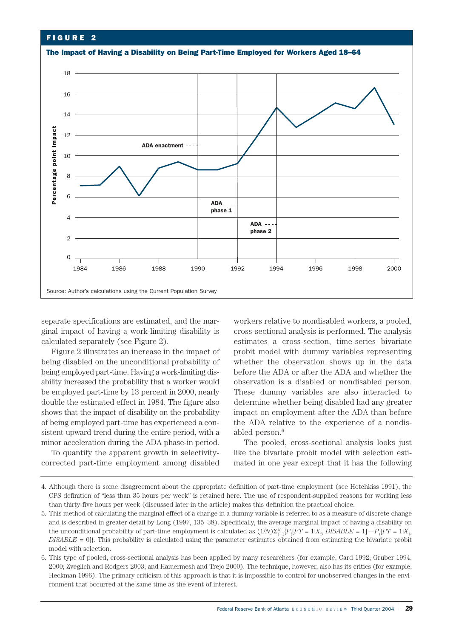

separate specifications are estimated, and the marginal impact of having a work-limiting disability is calculated separately (see Figure 2).

Figure 2 illustrates an increase in the impact of being disabled on the unconditional probability of being employed part-time. Having a work-limiting disability increased the probability that a worker would be employed part-time by 13 percent in 2000, nearly double the estimated effect in 1984. The figure also shows that the impact of disability on the probability of being employed part-time has experienced a consistent upward trend during the entire period, with a minor acceleration during the ADA phase-in period.

To quantify the apparent growth in selectivitycorrected part-time employment among disabled

workers relative to nondisabled workers, a pooled, cross-sectional analysis is performed. The analysis estimates a cross-section, time-series bivariate probit model with dummy variables representing whether the observation shows up in the data before the ADA or after the ADA and whether the observation is a disabled or nondisabled person. These dummy variables are also interacted to determine whether being disabled had any greater impact on employment after the ADA than before the ADA relative to the experience of a nondisabled person.<sup>6</sup>

The pooled, cross-sectional analysis looks just like the bivariate probit model with selection estimated in one year except that it has the following

<sup>4.</sup> Although there is some disagreement about the appropriate definition of part-time employment (see Hotchkiss 1991), the CPS definition of "less than 35 hours per week" is retained here. The use of respondent-supplied reasons for working less than thirty-five hours per week (discussed later in the article) makes this definition the practical choice.

<sup>5.</sup> This method of calculating the marginal effect of a change in a dummy variable is referred to as a measure of discrete change and is described in greater detail by Long (1997, 135–38). Specifically, the average marginal impact of having a disability on the unconditional probability of part-time employment is calculated as  $(1/N)\Sigma_{i=1}^N[P_iPT = 1|X_i, DISABLE = 1] - P_i[PT = 1|X_i,$ *DISABLE* = 0]}. This probability is calculated using the parameter estimates obtained from estimating the bivariate probit model with selection.

<sup>6.</sup> This type of pooled, cross-sectional analysis has been applied by many researchers (for example, Card 1992; Gruber 1994, 2000; Zveglich and Rodgers 2003; and Hamermesh and Trejo 2000). The technique, however, also has its critics (for example, Heckman 1996). The primary criticism of this approach is that it is impossible to control for unobserved changes in the environment that occurred at the same time as the event of interest.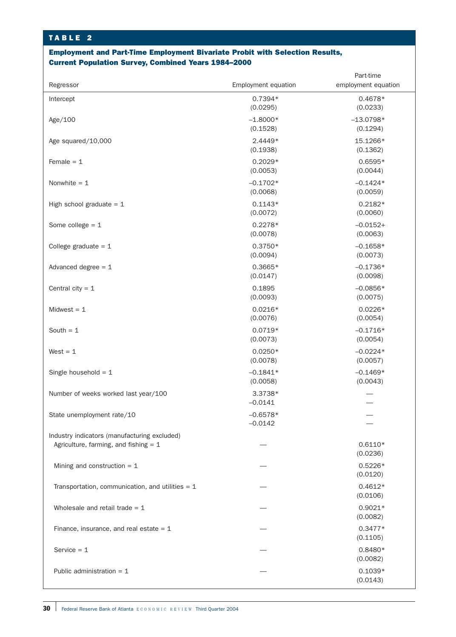## Employment and Part-Time Employment Bivariate Probit with Selection Results, Current Population Survey, Combined Years 1984–2000

|                                                    |                       | Part-time             |
|----------------------------------------------------|-----------------------|-----------------------|
| Regressor                                          | Employment equation   | employment equation   |
| Intercept                                          | $0.7394*$<br>(0.0295) | $0.4678*$<br>(0.0233) |
| Age/100                                            | $-1.8000*$            | $-13.0798*$           |
|                                                    | (0.1528)              | (0.1294)              |
| Age squared/10,000                                 | 2.4449*               | 15.1266*              |
|                                                    | (0.1938)              | (0.1362)              |
| Female $= 1$                                       | $0.2029*$             | $0.6595*$             |
|                                                    | (0.0053)              | (0.0044)              |
| Nonwhite $= 1$                                     | $-0.1702*$            | $-0.1424*$            |
|                                                    | (0.0068)              | (0.0059)              |
| High school graduate $= 1$                         | $0.1143*$             | $0.2182*$             |
|                                                    | (0.0072)              | (0.0060)              |
| Some college $= 1$                                 | $0.2278*$             | $-0.0152+$            |
|                                                    | (0.0078)              | (0.0063)              |
| College graduate = $1$                             | $0.3750*$             | $-0.1658*$            |
|                                                    | (0.0094)              | (0.0073)              |
| Advanced degree $= 1$                              | $0.3665*$             | $-0.1736*$            |
|                                                    | (0.0147)              | (0.0098)              |
| Central city = $1$                                 | 0.1895                | $-0.0856*$            |
|                                                    | (0.0093)              | (0.0075)              |
| Midwest $= 1$                                      | $0.0216*$             | $0.0226*$             |
|                                                    | (0.0076)              | (0.0054)              |
| South $= 1$                                        | $0.0719*$             | $-0.1716*$            |
|                                                    | (0.0073)              | (0.0054)              |
| $West = 1$                                         | $0.0250*$             | $-0.0224*$            |
|                                                    | (0.0078)              | (0.0057)              |
| Single household = $1$                             | $-0.1841*$            | $-0.1469*$            |
|                                                    | (0.0058)              | (0.0043)              |
| Number of weeks worked last year/100               | 3.3738*               |                       |
|                                                    | $-0.0141$             |                       |
| State unemployment rate/10                         | $-0.6578*$            |                       |
|                                                    | $-0.0142$             |                       |
| Industry indicators (manufacturing excluded)       |                       |                       |
| Agriculture, farming, and fishing $= 1$            |                       | $0.6110*$             |
|                                                    |                       | (0.0236)              |
| Mining and construction $= 1$                      |                       | $0.5226*$             |
|                                                    |                       | (0.0120)              |
| Transportation, communication, and utilities $= 1$ |                       | $0.4612*$             |
|                                                    |                       | (0.0106)              |
| Wholesale and retail trade $= 1$                   |                       | $0.9021*$             |
|                                                    |                       | (0.0082)              |
| Finance, insurance, and real estate $= 1$          |                       | $0.3477*$             |
|                                                    |                       | (0.1105)              |
| Service $= 1$                                      |                       | 0.8480*               |
|                                                    |                       | (0.0082)              |
| Public administration = $1$                        |                       | $0.1039*$             |
|                                                    |                       | (0.0143)              |
|                                                    |                       |                       |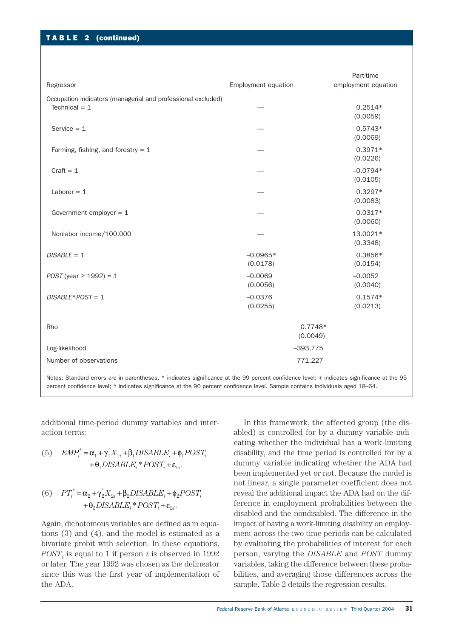### TABLE 2 (continued)

| Regressor                                                                                                                                                                                                                                                                          | <b>Employment equation</b> | Part-time<br>employment equation |  |  |
|------------------------------------------------------------------------------------------------------------------------------------------------------------------------------------------------------------------------------------------------------------------------------------|----------------------------|----------------------------------|--|--|
|                                                                                                                                                                                                                                                                                    |                            |                                  |  |  |
| Occupation indicators (managerial and professional excluded)<br>Technical $= 1$                                                                                                                                                                                                    |                            | $0.2514*$<br>(0.0059)            |  |  |
| Service $= 1$                                                                                                                                                                                                                                                                      |                            | $0.5743*$<br>(0.0069)            |  |  |
| Farming, fishing, and forestry = $1$                                                                                                                                                                                                                                               |                            | $0.3971*$<br>(0.0226)            |  |  |
| $Craft = 1$                                                                                                                                                                                                                                                                        |                            | $-0.0794*$<br>(0.0105)           |  |  |
| Laborer $= 1$                                                                                                                                                                                                                                                                      |                            | $0.3297*$<br>(0.0083)            |  |  |
| Government employer $= 1$                                                                                                                                                                                                                                                          |                            | $0.0317*$<br>(0.0060)            |  |  |
| Nonlabor income/100,000                                                                                                                                                                                                                                                            |                            | 13.0021*<br>(0.3348)             |  |  |
| $DISABLE = 1$                                                                                                                                                                                                                                                                      | $-0.0965*$<br>(0.0178)     | 0.3856*<br>(0.0154)              |  |  |
| $POST$ (year $\geq 1992$ ) = 1                                                                                                                                                                                                                                                     | $-0.0069$<br>(0.0056)      | $-0.0052$<br>(0.0040)            |  |  |
| $DISABLE*POST = 1$                                                                                                                                                                                                                                                                 | $-0.0376$<br>(0.0255)      | $0.1574*$<br>(0.0213)            |  |  |
| Rho                                                                                                                                                                                                                                                                                | $0.7748*$<br>(0.0049)      |                                  |  |  |
| Log-likelihood                                                                                                                                                                                                                                                                     | $-393,775$                 |                                  |  |  |
| Number of observations                                                                                                                                                                                                                                                             | 771,227                    |                                  |  |  |
| Notes: Standard errors are in parentheses. * indicates significance at the 99 percent confidence level; + indicates significance at the 95<br>percent confidence level: $\land$ indicates significance at the 90 percent confidence level. Sample contains individuals aged 18–64. |                            |                                  |  |  |

additional time-period dummy variables and interaction terms:

(5) 
$$
EMP_i^* = \alpha_1 + \gamma_1' X_{1i} + \beta_1 DISABLE_i + \phi_1 POST_i + \theta_1 DISABLE_i^* POST_i + \varepsilon_{1i}.
$$

(6) 
$$
PT_i^* = \alpha_2 + \gamma_2' X_{2i} + \beta_2 DISABLE_i + \phi_2 POST_i + \theta_2 DISABLE_i^* POST_i + \varepsilon_{2i}.
$$

Again, dichotomous variables are defined as in equations (3) and (4), and the model is estimated as a bivariate probit with selection. In these equations,  $POST_i$  is equal to 1 if person *i* is observed in 1992 or later. The year 1992 was chosen as the delineator since this was the first year of implementation of the ADA.

In this framework, the affected group (the disabled) is controlled for by a dummy variable indicating whether the individual has a work-limiting disability, and the time period is controlled for by a dummy variable indicating whether the ADA had been implemented yet or not. Because the model is not linear, a single parameter coefficient does not reveal the additional impact the ADA had on the difference in employment probabilities between the disabled and the nondisabled. The difference in the impact of having a work-limiting disability on employment across the two time periods can be calculated by evaluating the probabilities of interest for each person, varying the *DISABLE* and *POST* dummy variables, taking the difference between these probabilities, and averaging those differences across the sample. Table 2 details the regression results.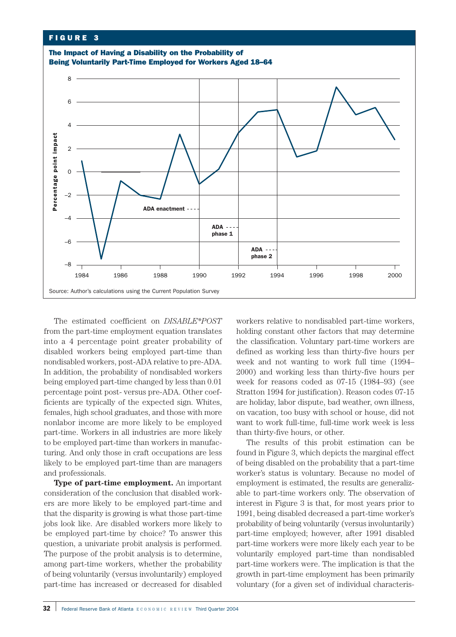

The estimated coefficient on *DISABLE\*POST* from the part-time employment equation translates into a 4 percentage point greater probability of disabled workers being employed part-time than nondisabled workers, post-ADA relative to pre-ADA. In addition, the probability of nondisabled workers being employed part-time changed by less than 0.01 percentage point post- versus pre-ADA. Other coefficients are typically of the expected sign. Whites, females, high school graduates, and those with more nonlabor income are more likely to be employed part-time. Workers in all industries are more likely to be employed part-time than workers in manufacturing. And only those in craft occupations are less likely to be employed part-time than are managers and professionals.

**Type of part-time employment.** An important consideration of the conclusion that disabled workers are more likely to be employed part-time and that the disparity is growing is what those part-time jobs look like. Are disabled workers more likely to be employed part-time by choice? To answer this question, a univariate probit analysis is performed. The purpose of the probit analysis is to determine, among part-time workers, whether the probability of being voluntarily (versus involuntarily) employed workers relative to nondisabled part-time workers, holding constant other factors that may determine the classification. Voluntary part-time workers are defined as working less than thirty-five hours per week and not wanting to work full time (1994– 2000) and working less than thirty-five hours per week for reasons coded as 07-15 (1984–93) (see Stratton 1994 for justification). Reason codes 07-15 are holiday, labor dispute, bad weather, own illness, on vacation, too busy with school or house, did not want to work full-time, full-time work week is less than thirty-five hours, or other.

The results of this probit estimation can be found in Figure 3, which depicts the marginal effect of being disabled on the probability that a part-time worker's status is voluntary. Because no model of employment is estimated, the results are generalizable to part-time workers only. The observation of interest in Figure 3 is that, for most years prior to 1991, being disabled decreased a part-time worker's probability of being voluntarily (versus involuntarily) part-time employed; however, after 1991 disabled part-time workers were more likely each year to be voluntarily employed part-time than nondisabled part-time workers were. The implication is that the growth in part-time employment has been primarily voluntary (for a given set of individual characteris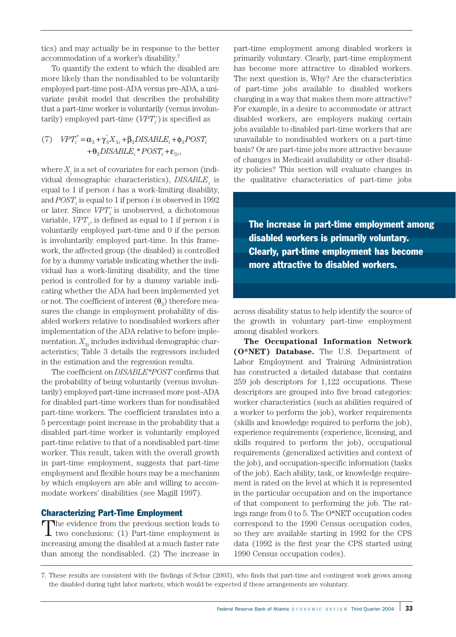tics) and may actually be in response to the better accommodation of a worker's disability.7

To quantify the extent to which the disabled are more likely than the nondisabled to be voluntarily employed part-time post-ADA versus pre-ADA, a univariate probit model that describes the probability that a part-time worker is voluntarily (versus involuntarily) employed part-time  $(V\!P T^*_i)$  is specified as

(7) 
$$
VPT_i^* = \alpha_3 + \gamma_3' X_{3i} + \beta_3 DISABLE_i + \phi_3 POST_i + \theta_3 DISABLE_i^* POST_i + \varepsilon_{3i},
$$

where  $X_i$  is a set of covariates for each person (individual demographic characteristics), *DISABLE* is equal to 1 if person *i* has a work-limiting disability, and  $POST_i$  is equal to 1 if person  $i$  is observed in 1992 or later. Since  $V\!PT_i^*$  is unobserved, a dichotomous variable,  $V\!PT_i^{}$ , is defined as equal to 1 if person  $i$  is voluntarily employed part-time and 0 if the person is involuntarily employed part-time. In this framework, the affected group (the disabled) is controlled for by a dummy variable indicating whether the individual has a work-limiting disability, and the time period is controlled for by a dummy variable indicating whether the ADA had been implemented yet or not. The coefficient of interest  $(\theta_3)$  therefore measures the change in employment probability of disabled workers relative to nondisabled workers after implementation of the ADA relative to before implementation.  $X_{3i}$  includes individual demographic characteristics; Table 3 details the regressors included in the estimation and the regression results.

The coefficient on *DISABLE\*POST* confirms that the probability of being voluntarily (versus involuntarily) employed part-time increased more post-ADA for disabled part-time workers than for nondisabled part-time workers. The coefficient translates into a 5 percentage point increase in the probability that a disabled part-time worker is voluntarily employed part-time relative to that of a nondisabled part-time worker. This result, taken with the overall growth in part-time employment, suggests that part-time employment and flexible hours may be a mechanism by which employers are able and willing to accommodate workers' disabilities (see Magill 1997).

#### Characterizing Part-Time Employment

The evidence from the previous section leads to two conclusions: (1) Part-time employment is increasing among the disabled at a much faster rate than among the nondisabled. (2) The increase in

part-time employment among disabled workers is primarily voluntary. Clearly, part-time employment has become more attractive to disabled workers. The next question is, Why? Are the characteristics of part-time jobs available to disabled workers changing in a way that makes them more attractive? For example, in a desire to accommodate or attract disabled workers, are employers making certain jobs available to disabled part-time workers that are unavailable to nondisabled workers on a part-time basis? Or are part-time jobs more attractive because of changes in Medicaid availability or other disability policies? This section will evaluate changes in the qualitative characteristics of part-time jobs

The increase in part-time employment among disabled workers is primarily voluntary. Clearly, part-time employment has become more attractive to disabled workers.

across disability status to help identify the source of the growth in voluntary part-time employment among disabled workers.

**The Occupational Information Network (O\*NET) Database.** The U.S. Department of Labor Employment and Training Administration has constructed a detailed database that contains 259 job descriptors for 1,122 occupations. These descriptors are grouped into five broad categories: worker characteristics (such as abilities required of a worker to perform the job), worker requirements (skills and knowledge required to perform the job), experience requirements (experience, licensing, and skills required to perform the job), occupational requirements (generalized activities and context of the job), and occupation-specific information (tasks of the job). Each ability, task, or knowledge requirement is rated on the level at which it is represented in the particular occupation and on the importance of that component to performing the job. The ratings range from 0 to 5. The O\*NET occupation codes correspond to the 1990 Census occupation codes, so they are available starting in 1992 for the CPS data (1992 is the first year the CPS started using 1990 Census occupation codes).

<sup>7.</sup> These results are consistent with the findings of Schur (2003), who finds that part-time and contingent work grows among the disabled during tight labor markets, which would be expected if these arrangements are voluntary.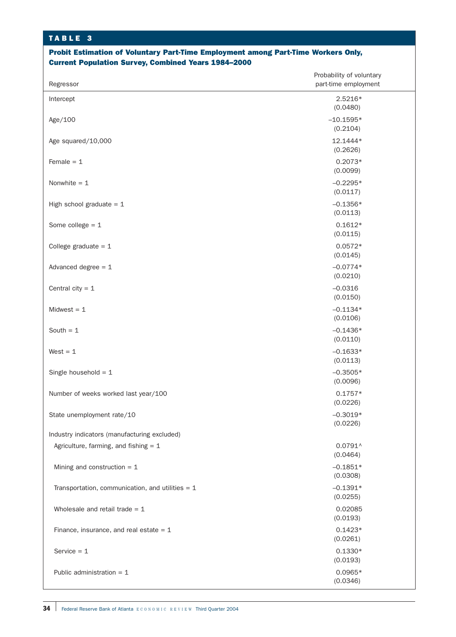## Probit Estimation of Voluntary Part-Time Employment among Part-Time Workers Only, Current Population Survey, Combined Years 1984–2000

| 2.5216*<br>Intercept<br>(0.0480)<br>$-10.1595*$<br>Age/100<br>(0.2104)<br>12.1444*<br>Age squared/10,000<br>(0.2626)<br>Female $= 1$<br>$0.2073*$<br>(0.0099)<br>Nonwhite $= 1$<br>$-0.2295*$<br>(0.0117)<br>$-0.1356*$<br>High school graduate = $1$<br>(0.0113)<br>Some college $= 1$<br>$0.1612*$<br>(0.0115)<br>$0.0572*$<br>College graduate = $1$<br>(0.0145)<br>$-0.0774*$<br>Advanced degree $= 1$<br>(0.0210)<br>Central city = $1$<br>$-0.0316$<br>(0.0150)<br>Midwest $= 1$<br>$-0.1134*$<br>(0.0106)<br>$-0.1436*$<br>South $= 1$<br>(0.0110)<br>West $= 1$<br>$-0.1633*$<br>(0.0113)<br>Single household = $1$<br>$-0.3505*$<br>(0.0096)<br>$0.1757*$<br>Number of weeks worked last year/100<br>(0.0226)<br>State unemployment rate/10<br>$-0.3019*$<br>(0.0226)<br>Industry indicators (manufacturing excluded)<br>Agriculture, farming, and fishing $= 1$<br>$0.0791^$<br>(0.0464)<br>$-0.1851*$<br>Mining and construction $= 1$<br>(0.0308)<br>$-0.1391*$<br>Transportation, communication, and utilities $= 1$<br>(0.0255)<br>Wholesale and retail trade $= 1$<br>0.02085<br>(0.0193)<br>$0.1423*$<br>Finance, insurance, and real estate $= 1$<br>(0.0261)<br>Service $= 1$<br>$0.1330*$<br>(0.0193)<br>Public administration $= 1$<br>$0.0965*$ | Regressor | Probability of voluntary<br>part-time employment |  |  |  |
|----------------------------------------------------------------------------------------------------------------------------------------------------------------------------------------------------------------------------------------------------------------------------------------------------------------------------------------------------------------------------------------------------------------------------------------------------------------------------------------------------------------------------------------------------------------------------------------------------------------------------------------------------------------------------------------------------------------------------------------------------------------------------------------------------------------------------------------------------------------------------------------------------------------------------------------------------------------------------------------------------------------------------------------------------------------------------------------------------------------------------------------------------------------------------------------------------------------------------------------------------------------------|-----------|--------------------------------------------------|--|--|--|
|                                                                                                                                                                                                                                                                                                                                                                                                                                                                                                                                                                                                                                                                                                                                                                                                                                                                                                                                                                                                                                                                                                                                                                                                                                                                      |           |                                                  |  |  |  |
|                                                                                                                                                                                                                                                                                                                                                                                                                                                                                                                                                                                                                                                                                                                                                                                                                                                                                                                                                                                                                                                                                                                                                                                                                                                                      |           |                                                  |  |  |  |
|                                                                                                                                                                                                                                                                                                                                                                                                                                                                                                                                                                                                                                                                                                                                                                                                                                                                                                                                                                                                                                                                                                                                                                                                                                                                      |           |                                                  |  |  |  |
|                                                                                                                                                                                                                                                                                                                                                                                                                                                                                                                                                                                                                                                                                                                                                                                                                                                                                                                                                                                                                                                                                                                                                                                                                                                                      |           |                                                  |  |  |  |
|                                                                                                                                                                                                                                                                                                                                                                                                                                                                                                                                                                                                                                                                                                                                                                                                                                                                                                                                                                                                                                                                                                                                                                                                                                                                      |           |                                                  |  |  |  |
|                                                                                                                                                                                                                                                                                                                                                                                                                                                                                                                                                                                                                                                                                                                                                                                                                                                                                                                                                                                                                                                                                                                                                                                                                                                                      |           |                                                  |  |  |  |
|                                                                                                                                                                                                                                                                                                                                                                                                                                                                                                                                                                                                                                                                                                                                                                                                                                                                                                                                                                                                                                                                                                                                                                                                                                                                      |           |                                                  |  |  |  |
|                                                                                                                                                                                                                                                                                                                                                                                                                                                                                                                                                                                                                                                                                                                                                                                                                                                                                                                                                                                                                                                                                                                                                                                                                                                                      |           |                                                  |  |  |  |
|                                                                                                                                                                                                                                                                                                                                                                                                                                                                                                                                                                                                                                                                                                                                                                                                                                                                                                                                                                                                                                                                                                                                                                                                                                                                      |           |                                                  |  |  |  |
|                                                                                                                                                                                                                                                                                                                                                                                                                                                                                                                                                                                                                                                                                                                                                                                                                                                                                                                                                                                                                                                                                                                                                                                                                                                                      |           |                                                  |  |  |  |
|                                                                                                                                                                                                                                                                                                                                                                                                                                                                                                                                                                                                                                                                                                                                                                                                                                                                                                                                                                                                                                                                                                                                                                                                                                                                      |           |                                                  |  |  |  |
|                                                                                                                                                                                                                                                                                                                                                                                                                                                                                                                                                                                                                                                                                                                                                                                                                                                                                                                                                                                                                                                                                                                                                                                                                                                                      |           |                                                  |  |  |  |
|                                                                                                                                                                                                                                                                                                                                                                                                                                                                                                                                                                                                                                                                                                                                                                                                                                                                                                                                                                                                                                                                                                                                                                                                                                                                      |           |                                                  |  |  |  |
|                                                                                                                                                                                                                                                                                                                                                                                                                                                                                                                                                                                                                                                                                                                                                                                                                                                                                                                                                                                                                                                                                                                                                                                                                                                                      |           |                                                  |  |  |  |
|                                                                                                                                                                                                                                                                                                                                                                                                                                                                                                                                                                                                                                                                                                                                                                                                                                                                                                                                                                                                                                                                                                                                                                                                                                                                      |           |                                                  |  |  |  |
|                                                                                                                                                                                                                                                                                                                                                                                                                                                                                                                                                                                                                                                                                                                                                                                                                                                                                                                                                                                                                                                                                                                                                                                                                                                                      |           |                                                  |  |  |  |
|                                                                                                                                                                                                                                                                                                                                                                                                                                                                                                                                                                                                                                                                                                                                                                                                                                                                                                                                                                                                                                                                                                                                                                                                                                                                      |           |                                                  |  |  |  |
|                                                                                                                                                                                                                                                                                                                                                                                                                                                                                                                                                                                                                                                                                                                                                                                                                                                                                                                                                                                                                                                                                                                                                                                                                                                                      |           |                                                  |  |  |  |
|                                                                                                                                                                                                                                                                                                                                                                                                                                                                                                                                                                                                                                                                                                                                                                                                                                                                                                                                                                                                                                                                                                                                                                                                                                                                      |           |                                                  |  |  |  |
|                                                                                                                                                                                                                                                                                                                                                                                                                                                                                                                                                                                                                                                                                                                                                                                                                                                                                                                                                                                                                                                                                                                                                                                                                                                                      |           |                                                  |  |  |  |
|                                                                                                                                                                                                                                                                                                                                                                                                                                                                                                                                                                                                                                                                                                                                                                                                                                                                                                                                                                                                                                                                                                                                                                                                                                                                      |           |                                                  |  |  |  |
|                                                                                                                                                                                                                                                                                                                                                                                                                                                                                                                                                                                                                                                                                                                                                                                                                                                                                                                                                                                                                                                                                                                                                                                                                                                                      |           |                                                  |  |  |  |
|                                                                                                                                                                                                                                                                                                                                                                                                                                                                                                                                                                                                                                                                                                                                                                                                                                                                                                                                                                                                                                                                                                                                                                                                                                                                      |           |                                                  |  |  |  |
| (0.0346)                                                                                                                                                                                                                                                                                                                                                                                                                                                                                                                                                                                                                                                                                                                                                                                                                                                                                                                                                                                                                                                                                                                                                                                                                                                             |           |                                                  |  |  |  |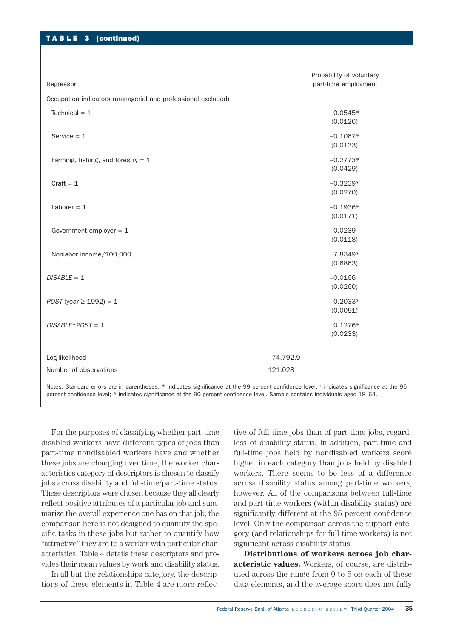| TABLE 3 (continued)                                          |                                                  |
|--------------------------------------------------------------|--------------------------------------------------|
|                                                              |                                                  |
| Regressor                                                    | Probability of voluntary<br>part-time employment |
| Occupation indicators (managerial and professional excluded) |                                                  |
| Technical $= 1$                                              | $0.0545*$<br>(0.0126)                            |
| Service $= 1$                                                | $-0.1067*$<br>(0.0133)                           |
| Farming, fishing, and forestry = $1$                         | $-0.2773*$<br>(0.0429)                           |
| $Craft = 1$                                                  | $-0.3239*$<br>(0.0270)                           |
| Laborer $= 1$                                                | $-0.1936*$<br>(0.0171)                           |
| Government employer = $1$                                    | $-0.0239$<br>(0.0118)                            |
| Nonlabor income/100,000                                      | 7.8349*<br>(0.6863)                              |
| $DISABLE = 1$                                                | $-0.0166$<br>(0.0260)                            |
| $POST$ (year $\geq 1992$ ) = 1                               | $-0.2033*$<br>(0.0081)                           |
| $DISABLE*POST = 1$                                           | $0.1276*$<br>(0.0233)                            |
| Log-likelihood                                               | $-74,792.9$                                      |
| Number of observations                                       | 121,028                                          |

For the purposes of classifying whether part-time disabled workers have different types of jobs than part-time nondisabled workers have and whether these jobs are changing over time, the worker characteristics category of descriptors is chosen to classify jobs across disability and full-time/part-time status. These descriptors were chosen because they all clearly reflect positive attributes of a particular job and summarize the overall experience one has on that job; the comparison here is not designed to quantify the specific tasks in these jobs but rather to quantify how "attractive" they are to a worker with particular characteristics. Table 4 details these descriptors and provides their mean values by work and disability status.

In all but the relationships category, the descriptions of these elements in Table 4 are more reflec-

tive of full-time jobs than of part-time jobs, regardless of disability status. In addition, part-time and full-time jobs held by nondisabled workers score higher in each category than jobs held by disabled workers. There seems to be less of a difference across disability status among part-time workers, however. All of the comparisons between full-time and part-time workers (within disability status) are significantly different at the 95 percent confidence level. Only the comparison across the support category (and relationships for full-time workers) is not significant across disability status.

**Distributions of workers across job characteristic values.** Workers, of course, are distributed across the range from 0 to 5 on each of these data elements, and the average score does not fully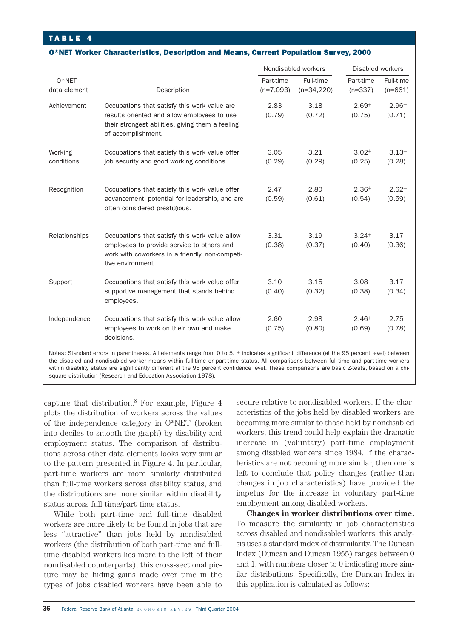#### O\*NET Worker Characteristics, Description and Means, Current Population Survey, 2000

|                                                                                                                                                                                                                                                                                        |                                                                                                                                                                       | Nondisabled workers      |                           | Disabled workers       |                        |
|----------------------------------------------------------------------------------------------------------------------------------------------------------------------------------------------------------------------------------------------------------------------------------------|-----------------------------------------------------------------------------------------------------------------------------------------------------------------------|--------------------------|---------------------------|------------------------|------------------------|
| $O*NET$<br>data element                                                                                                                                                                                                                                                                | Description                                                                                                                                                           | Part-time<br>$(n=7,093)$ | Full-time<br>$(n=34,220)$ | Part-time<br>$(n=337)$ | Full-time<br>$(n=661)$ |
| Achievement                                                                                                                                                                                                                                                                            | Occupations that satisfy this work value are<br>results oriented and allow employees to use<br>their strongest abilities, giving them a feeling<br>of accomplishment. | 2.83<br>(0.79)           | 3.18<br>(0.72)            | $2.69+$<br>(0.75)      | $2.96+$<br>(0.71)      |
| Working<br>conditions                                                                                                                                                                                                                                                                  | Occupations that satisfy this work value offer<br>job security and good working conditions.                                                                           | 3.05<br>(0.29)           | 3.21<br>(0.29)            | $3.02+$<br>(0.25)      | $3.13+$<br>(0.28)      |
| Recognition                                                                                                                                                                                                                                                                            | Occupations that satisfy this work value offer<br>advancement, potential for leadership, and are<br>often considered prestigious.                                     | 2.47<br>(0.59)           | 2.80<br>(0.61)            | $2.36+$<br>(0.54)      | $2.62+$<br>(0.59)      |
| Relationships                                                                                                                                                                                                                                                                          | Occupations that satisfy this work value allow<br>employees to provide service to others and<br>work with coworkers in a friendly, non-competi-<br>tive environment.  | 3.31<br>(0.38)           | 3.19<br>(0.37)            | $3.24+$<br>(0.40)      | 3.17<br>(0.36)         |
| Support                                                                                                                                                                                                                                                                                | Occupations that satisfy this work value offer<br>supportive management that stands behind<br>employees.                                                              | 3.10<br>(0.40)           | 3.15<br>(0.32)            | 3.08<br>(0.38)         | 3.17<br>(0.34)         |
| Independence                                                                                                                                                                                                                                                                           | Occupations that satisfy this work value allow<br>employees to work on their own and make<br>decisions.                                                               | 2.60<br>(0.75)           | 2.98<br>(0.80)            | $2.46+$<br>(0.69)      | $2.75+$<br>(0.78)      |
| Notes: Standard errors in parentheses. All elements range from 0 to 5. + indicates significant difference (at the 95 percent level) between<br>the disabled and nondisabled worker means within full-time or part-time status. All comparisons between full-time and part-time workers |                                                                                                                                                                       |                          |                           |                        |                        |

ns within full-time or part-time status. All comparisons between full-time within disability status are significantly different at the 95 percent confidence level. These comparisons are basic Z-tests, based on a chisquare distribution (Research and Education Association 1978).

capture that distribution.<sup>8</sup> For example, Figure  $4$ plots the distribution of workers across the values of the independence category in O\*NET (broken into deciles to smooth the graph) by disability and employment status. The comparison of distributions across other data elements looks very similar to the pattern presented in Figure 4. In particular, part-time workers are more similarly distributed than full-time workers across disability status, and the distributions are more similar within disability status across full-time/part-time status.

While both part-time and full-time disabled workers are more likely to be found in jobs that are less "attractive" than jobs held by nondisabled workers (the distribution of both part-time and fulltime disabled workers lies more to the left of their nondisabled counterparts), this cross-sectional picture may be hiding gains made over time in the types of jobs disabled workers have been able to secure relative to nondisabled workers. If the characteristics of the jobs held by disabled workers are becoming more similar to those held by nondisabled workers, this trend could help explain the dramatic increase in (voluntary) part-time employment among disabled workers since 1984. If the characteristics are not becoming more similar, then one is left to conclude that policy changes (rather than changes in job characteristics) have provided the impetus for the increase in voluntary part-time employment among disabled workers.

**Changes in worker distributions over time.** To measure the similarity in job characteristics across disabled and nondisabled workers, this analysis uses a standard index of dissimilarity. The Duncan Index (Duncan and Duncan 1955) ranges between 0 and 1, with numbers closer to 0 indicating more similar distributions. Specifically, the Duncan Index in this application is calculated as follows: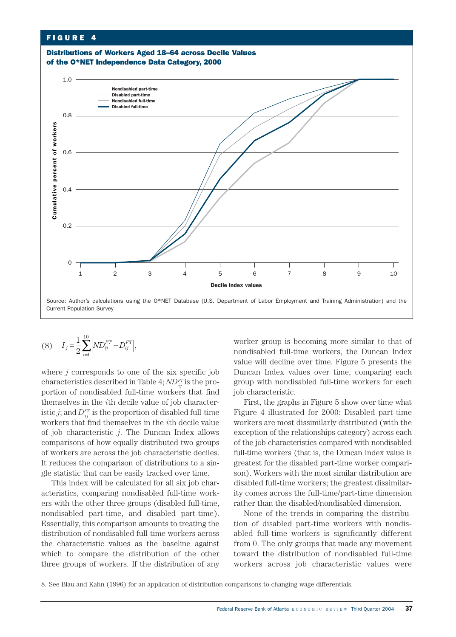

$$
(8) \tIj = \frac{1}{2} \sum_{i=1}^{10} \left| ND_{ij}^{FT} - D_{ij}^{FT} \right|,
$$

where  $j$  corresponds to one of the six specific job characteristics described in Table 4;  $ND_{ij}^{FT}$  is the proportion of nondisabled full-time workers that find themselves in the *i*th decile value of job characteristic  $j$ ; and  $D_{ij}^{rr}$  is the proportion of disabled full-time workers that find themselves in the *i*th decile value of job characteristic *j*. The Duncan Index allows comparisons of how equally distributed two groups of workers are across the job characteristic deciles. It reduces the comparison of distributions to a single statistic that can be easily tracked over time.

This index will be calculated for all six job characteristics, comparing nondisabled full-time workers with the other three groups (disabled full-time, nondisabled part-time, and disabled part-time). Essentially, this comparison amounts to treating the distribution of nondisabled full-time workers across the characteristic values as the baseline against which to compare the distribution of the other three groups of workers. If the distribution of any , worker group is becoming more similar to that of nondisabled full-time workers, the Duncan Index value will decline over time. Figure 5 presents the Duncan Index values over time, comparing each group with nondisabled full-time workers for each job characteristic.

First, the graphs in Figure 5 show over time what Figure 4 illustrated for 2000: Disabled part-time workers are most dissimilarly distributed (with the exception of the relationships category) across each of the job characteristics compared with nondisabled full-time workers (that is, the Duncan Index value is greatest for the disabled part-time worker comparison). Workers with the most similar distribution are disabled full-time workers; the greatest dissimilarity comes across the full-time/part-time dimension rather than the disabled/nondisabled dimension.

None of the trends in comparing the distribution of disabled part-time workers with nondisabled full-time workers is significantly different from 0. The only groups that made any movement toward the distribution of nondisabled full-time workers across job characteristic values were

<sup>8.</sup> See Blau and Kahn (1996) for an application of distribution comparisons to changing wage differentials.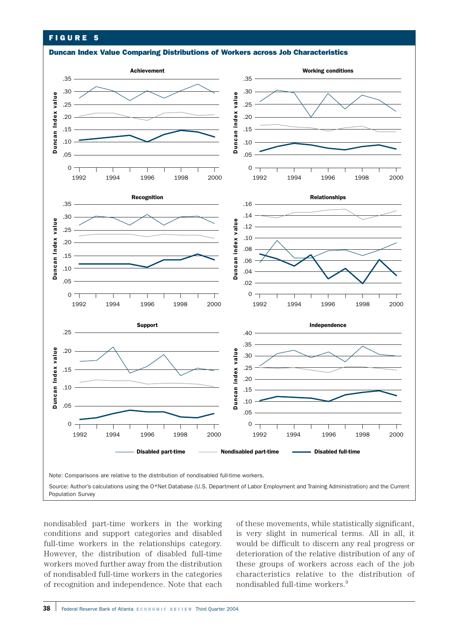# FIGURE 5

Duncan Index Value Comparing Distributions of Workers across Job Characteristics



nondisabled part-time workers in the working conditions and support categories and disabled full-time workers in the relationships category. However, the distribution of disabled full-time workers moved further away from the distribution of nondisabled full-time workers in the categories

of these movements, while statistically significant, is very slight in numerical terms. All in all, it would be difficult to discern any real progress or deterioration of the relative distribution of any of these groups of workers across each of the job characteristics relative to the distribution of nondisabled full-time workers.9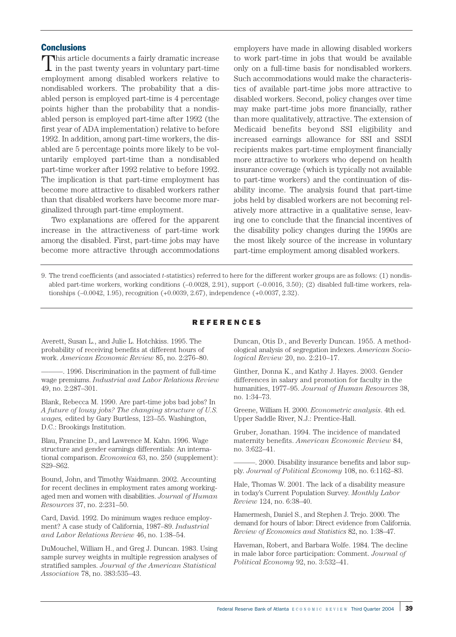# **Conclusions**

This article documents a fairly dramatic increase in the past twenty years in voluntary part-time employment among disabled workers relative to nondisabled workers. The probability that a disabled person is employed part-time is 4 percentage points higher than the probability that a nondisabled person is employed part-time after 1992 (the first year of ADA implementation) relative to before 1992. In addition, among part-time workers, the disabled are 5 percentage points more likely to be voluntarily employed part-time than a nondisabled part-time worker after 1992 relative to before 1992. The implication is that part-time employment has become more attractive to disabled workers rather than that disabled workers have become more marginalized through part-time employment.

Two explanations are offered for the apparent increase in the attractiveness of part-time work among the disabled. First, part-time jobs may have become more attractive through accommodations

employers have made in allowing disabled workers to work part-time in jobs that would be available only on a full-time basis for nondisabled workers. Such accommodations would make the characteristics of available part-time jobs more attractive to disabled workers. Second, policy changes over time may make part-time jobs more financially, rather than more qualitatively, attractive. The extension of Medicaid benefits beyond SSI eligibility and increased earnings allowance for SSI and SSDI recipients makes part-time employment financially more attractive to workers who depend on health insurance coverage (which is typically not available to part-time workers) and the continuation of disability income. The analysis found that part-time jobs held by disabled workers are not becoming relatively more attractive in a qualitative sense, leaving one to conclude that the financial incentives of the disability policy changes during the 1990s are the most likely source of the increase in voluntary part-time employment among disabled workers.

9. The trend coefficients (and associated *t*-statistics) referred to here for the different worker groups are as follows: (1) nondisabled part-time workers, working conditions (–0.0028, 2.91), support (–0.0016, 3.50); (2) disabled full-time workers, relationships (–0.0042, 1.95), recognition (+0.0039, 2.67), independence (+0.0037, 2.32).

## REFERENCES

Averett, Susan L., and Julie L. Hotchkiss. 1995. The probability of receiving benefits at different hours of work. *American Economic Review* 85, no. 2:276–80.

———. 1996. Discrimination in the payment of full-time wage premiums. *Industrial and Labor Relations Review* 49, no. 2:287–301.

Blank, Rebecca M. 1990. Are part-time jobs bad jobs? In *A future of lousy jobs? The changing structure of U.S. wages,* edited by Gary Burtless, 123–55. Washington, D.C.: Brookings Institution.

Blau, Francine D., and Lawrence M. Kahn. 1996. Wage structure and gender earnings differentials: An international comparison. *Economica* 63, no. 250 (supplement): S29–S62.

Bound, John, and Timothy Waidmann. 2002. Accounting for recent declines in employment rates among workingaged men and women with disabilities. *Journal of Human Resources* 37, no. 2:231–50.

Card, David. 1992. Do minimum wages reduce employment? A case study of California, 1987–89. *Industrial and Labor Relations Review* 46, no. 1:38–54.

DuMouchel, William H., and Greg J. Duncan. 1983. Using sample survey weights in multiple regression analyses of stratified samples. *Journal of the American Statistical Association* 78, no. 383:535–43.

Duncan, Otis D., and Beverly Duncan. 1955. A methodological analysis of segregation indexes. *American Sociological Review* 20, no. 2:210–17.

Ginther, Donna K., and Kathy J. Hayes. 2003. Gender differences in salary and promotion for faculty in the humanities, 1977–95. *Journal of Human Resources* 38, no. 1:34–73.

Greene, William H. 2000. *Econometric analysis*. 4th ed. Upper Saddle River, N.J.: Prentice-Hall.

Gruber, Jonathan. 1994. The incidence of mandated maternity benefits. *American Economic Review* 84, no. 3:622–41.

———. 2000. Disability insurance benefits and labor supply. *Journal of Political Economy* 108, no. 6:1162–83.

Hale, Thomas W. 2001. The lack of a disability measure in today's Current Population Survey. *Monthly Labor Review* 124, no. 6:38–40.

Hamermesh, Daniel S., and Stephen J. Trejo. 2000. The demand for hours of labor: Direct evidence from California. *Review of Economics and Statistics* 82, no. 1:38–47.

Haveman, Robert, and Barbara Wolfe. 1984. The decline in male labor force participation: Comment. *Journal of Political Economy* 92, no. 3:532–41.